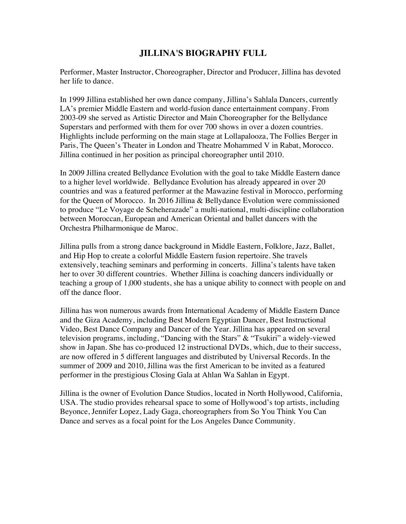## **JILLINA'S BIOGRAPHY FULL**

Performer, Master Instructor, Choreographer, Director and Producer, Jillina has devoted her life to dance.

In 1999 Jillina established her own dance company, Jillina's Sahlala Dancers, currently LA's premier Middle Eastern and world-fusion dance entertainment company. From 2003-09 she served as Artistic Director and Main Choreographer for the Bellydance Superstars and performed with them for over 700 shows in over a dozen countries. Highlights include performing on the main stage at Lollapalooza, The Follies Berger in Paris, The Queen's Theater in London and Theatre Mohammed V in Rabat, Morocco. Jillina continued in her position as principal choreographer until 2010.

In 2009 Jillina created Bellydance Evolution with the goal to take Middle Eastern dance to a higher level worldwide. Bellydance Evolution has already appeared in over 20 countries and was a featured performer at the Mawazine festival in Morocco, performing for the Queen of Morocco. In 2016 Jillina & Bellydance Evolution were commissioned to produce "Le Voyage de Scheherazade" a multi-national, multi-discipline collaboration between Moroccan, European and American Oriental and ballet dancers with the Orchestra Philharmonique de Maroc.

Jillina pulls from a strong dance background in Middle Eastern, Folklore, Jazz, Ballet, and Hip Hop to create a colorful Middle Eastern fusion repertoire. She travels extensively, teaching seminars and performing in concerts. Jillina's talents have taken her to over 30 different countries. Whether Jillina is coaching dancers individually or teaching a group of 1,000 students, she has a unique ability to connect with people on and off the dance floor.

Jillina has won numerous awards from International Academy of Middle Eastern Dance and the Giza Academy, including Best Modern Egyptian Dancer, Best Instructional Video, Best Dance Company and Dancer of the Year. Jillina has appeared on several television programs, including, "Dancing with the Stars" & "Tsukiri" a widely-viewed show in Japan. She has co-produced 12 instructional DVDs, which, due to their success, are now offered in 5 different languages and distributed by Universal Records. In the summer of 2009 and 2010, Jillina was the first American to be invited as a featured performer in the prestigious Closing Gala at Ahlan Wa Sahlan in Egypt.

Jillina is the owner of Evolution Dance Studios, located in North Hollywood, California, USA. The studio provides rehearsal space to some of Hollywood's top artists, including Beyonce, Jennifer Lopez, Lady Gaga, choreographers from So You Think You Can Dance and serves as a focal point for the Los Angeles Dance Community.